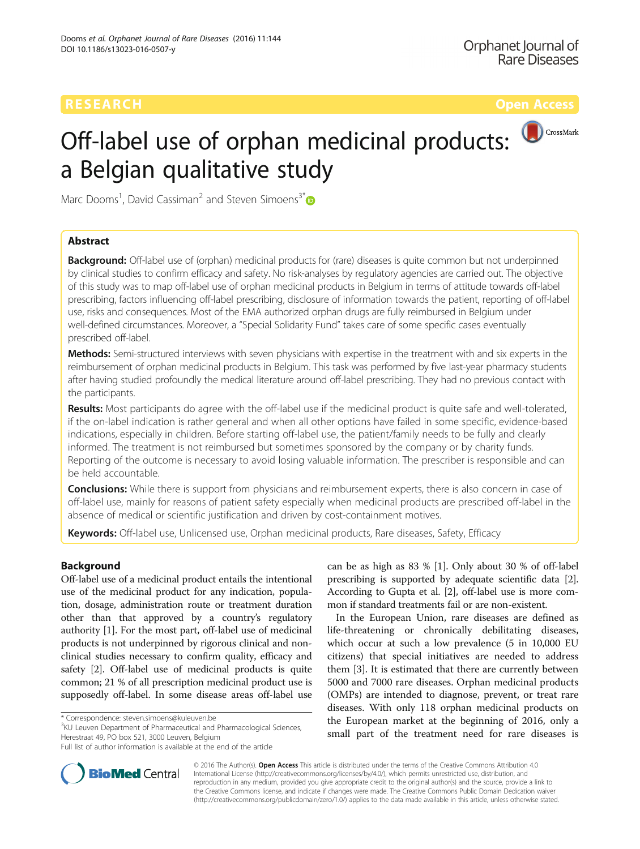# Off-label use of orphan medicinal products: a Belgian qualitative study

Marc Dooms<sup>1</sup>, David Cassiman<sup>2</sup> and Steven Simoens<sup>3\*</sup>

# Abstract

**Background:** Off-label use of (orphan) medicinal products for (rare) diseases is quite common but not underpinned by clinical studies to confirm efficacy and safety. No risk-analyses by regulatory agencies are carried out. The objective of this study was to map off-label use of orphan medicinal products in Belgium in terms of attitude towards off-label prescribing, factors influencing off-label prescribing, disclosure of information towards the patient, reporting of off-label use, risks and consequences. Most of the EMA authorized orphan drugs are fully reimbursed in Belgium under well-defined circumstances. Moreover, a "Special Solidarity Fund" takes care of some specific cases eventually prescribed off-label.

Methods: Semi-structured interviews with seven physicians with expertise in the treatment with and six experts in the reimbursement of orphan medicinal products in Belgium. This task was performed by five last-year pharmacy students after having studied profoundly the medical literature around off-label prescribing. They had no previous contact with the participants.

Results: Most participants do agree with the off-label use if the medicinal product is quite safe and well-tolerated, if the on-label indication is rather general and when all other options have failed in some specific, evidence-based indications, especially in children. Before starting off-label use, the patient/family needs to be fully and clearly informed. The treatment is not reimbursed but sometimes sponsored by the company or by charity funds. Reporting of the outcome is necessary to avoid losing valuable information. The prescriber is responsible and can be held accountable.

**Conclusions:** While there is support from physicians and reimbursement experts, there is also concern in case of off-label use, mainly for reasons of patient safety especially when medicinal products are prescribed off-label in the absence of medical or scientific justification and driven by cost-containment motives.

Keywords: Off-label use, Unlicensed use, Orphan medicinal products, Rare diseases, Safety, Efficacy

# Background

Off-label use of a medicinal product entails the intentional use of the medicinal product for any indication, population, dosage, administration route or treatment duration other than that approved by a country's regulatory authority [\[1](#page-7-0)]. For the most part, off-label use of medicinal products is not underpinned by rigorous clinical and nonclinical studies necessary to confirm quality, efficacy and safety [\[2](#page-7-0)]. Off-label use of medicinal products is quite common; 21 % of all prescription medicinal product use is supposedly off-label. In some disease areas off-label use

<sup>3</sup>KU Leuven Department of Pharmaceutical and Pharmacological Sciences, Herestraat 49, PO box 521, 3000 Leuven, Belgium

can be as high as 83 % [\[1](#page-7-0)]. Only about 30 % of off-label prescribing is supported by adequate scientific data [[2](#page-7-0)]. According to Gupta et al. [[2](#page-7-0)], off-label use is more common if standard treatments fail or are non-existent.

In the European Union, rare diseases are defined as life-threatening or chronically debilitating diseases, which occur at such a low prevalence (5 in 10,000 EU citizens) that special initiatives are needed to address them [[3\]](#page-7-0). It is estimated that there are currently between 5000 and 7000 rare diseases. Orphan medicinal products (OMPs) are intended to diagnose, prevent, or treat rare diseases. With only 118 orphan medicinal products on the European market at the beginning of 2016, only a small part of the treatment need for rare diseases is



© 2016 The Author(s). Open Access This article is distributed under the terms of the Creative Commons Attribution 4.0 International License [\(http://creativecommons.org/licenses/by/4.0/](http://creativecommons.org/licenses/by/4.0/)), which permits unrestricted use, distribution, and reproduction in any medium, provided you give appropriate credit to the original author(s) and the source, provide a link to the Creative Commons license, and indicate if changes were made. The Creative Commons Public Domain Dedication waiver [\(http://creativecommons.org/publicdomain/zero/1.0/](http://creativecommons.org/publicdomain/zero/1.0/)) applies to the data made available in this article, unless otherwise stated.

<sup>\*</sup> Correspondence: [steven.simoens@kuleuven.be](mailto:steven.simoens@kuleuven.be) <sup>3</sup>

Full list of author information is available at the end of the article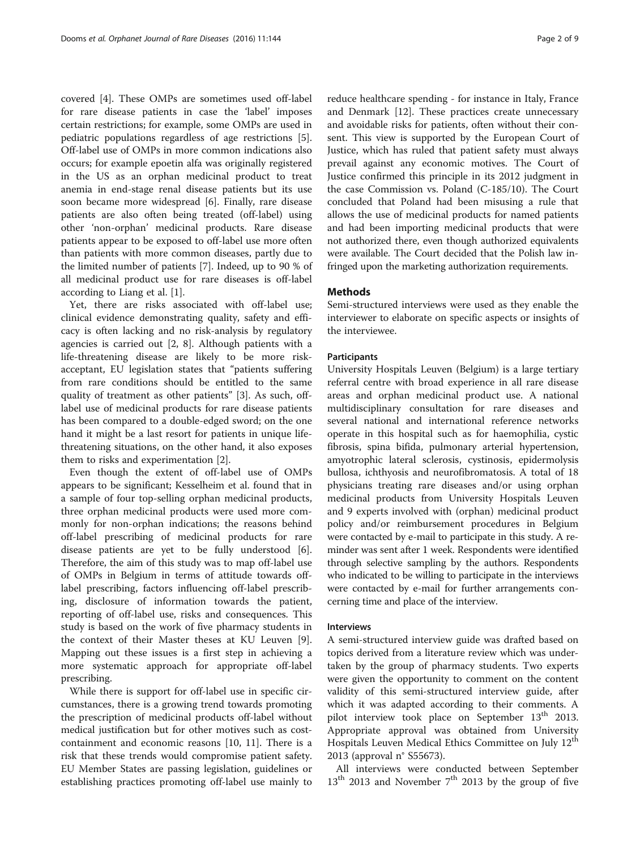covered [[4\]](#page-7-0). These OMPs are sometimes used off-label for rare disease patients in case the 'label' imposes certain restrictions; for example, some OMPs are used in pediatric populations regardless of age restrictions [\[5](#page-7-0)]. Off-label use of OMPs in more common indications also occurs; for example epoetin alfa was originally registered in the US as an orphan medicinal product to treat anemia in end-stage renal disease patients but its use soon became more widespread [[6\]](#page-7-0). Finally, rare disease patients are also often being treated (off-label) using other 'non-orphan' medicinal products. Rare disease patients appear to be exposed to off-label use more often than patients with more common diseases, partly due to the limited number of patients [[7\]](#page-7-0). Indeed, up to 90 % of all medicinal product use for rare diseases is off-label according to Liang et al. [[1\]](#page-7-0).

Yet, there are risks associated with off-label use; clinical evidence demonstrating quality, safety and efficacy is often lacking and no risk-analysis by regulatory agencies is carried out [\[2](#page-7-0), [8](#page-7-0)]. Although patients with a life-threatening disease are likely to be more riskacceptant, EU legislation states that "patients suffering from rare conditions should be entitled to the same quality of treatment as other patients" [\[3](#page-7-0)]. As such, offlabel use of medicinal products for rare disease patients has been compared to a double-edged sword; on the one hand it might be a last resort for patients in unique lifethreatening situations, on the other hand, it also exposes them to risks and experimentation [[2\]](#page-7-0).

Even though the extent of off-label use of OMPs appears to be significant; Kesselheim et al. found that in a sample of four top-selling orphan medicinal products, three orphan medicinal products were used more commonly for non-orphan indications; the reasons behind off-label prescribing of medicinal products for rare disease patients are yet to be fully understood [\[6](#page-7-0)]. Therefore, the aim of this study was to map off-label use of OMPs in Belgium in terms of attitude towards offlabel prescribing, factors influencing off-label prescribing, disclosure of information towards the patient, reporting of off-label use, risks and consequences. This study is based on the work of five pharmacy students in the context of their Master theses at KU Leuven [\[9](#page-7-0)]. Mapping out these issues is a first step in achieving a more systematic approach for appropriate off-label prescribing.

While there is support for off-label use in specific circumstances, there is a growing trend towards promoting the prescription of medicinal products off-label without medical justification but for other motives such as costcontainment and economic reasons [[10, 11](#page-7-0)]. There is a risk that these trends would compromise patient safety. EU Member States are passing legislation, guidelines or establishing practices promoting off-label use mainly to

reduce healthcare spending - for instance in Italy, France and Denmark [\[12](#page-7-0)]. These practices create unnecessary and avoidable risks for patients, often without their consent. This view is supported by the European Court of Justice, which has ruled that patient safety must always prevail against any economic motives. The Court of Justice confirmed this principle in its 2012 judgment in the case Commission vs. Poland (C-185/10). The Court concluded that Poland had been misusing a rule that allows the use of medicinal products for named patients and had been importing medicinal products that were not authorized there, even though authorized equivalents were available. The Court decided that the Polish law infringed upon the marketing authorization requirements.

# Methods

Semi-structured interviews were used as they enable the interviewer to elaborate on specific aspects or insights of the interviewee.

# **Participants**

University Hospitals Leuven (Belgium) is a large tertiary referral centre with broad experience in all rare disease areas and orphan medicinal product use. A national multidisciplinary consultation for rare diseases and several national and international reference networks operate in this hospital such as for haemophilia, cystic fibrosis, spina bifida, pulmonary arterial hypertension, amyotrophic lateral sclerosis, cystinosis, epidermolysis bullosa, ichthyosis and neurofibromatosis. A total of 18 physicians treating rare diseases and/or using orphan medicinal products from University Hospitals Leuven and 9 experts involved with (orphan) medicinal product policy and/or reimbursement procedures in Belgium were contacted by e-mail to participate in this study. A reminder was sent after 1 week. Respondents were identified through selective sampling by the authors. Respondents who indicated to be willing to participate in the interviews were contacted by e-mail for further arrangements concerning time and place of the interview.

#### Interviews

A semi-structured interview guide was drafted based on topics derived from a literature review which was undertaken by the group of pharmacy students. Two experts were given the opportunity to comment on the content validity of this semi-structured interview guide, after which it was adapted according to their comments. A pilot interview took place on September 13<sup>th</sup> 2013. Appropriate approval was obtained from University Hospitals Leuven Medical Ethics Committee on July 12<sup>th</sup> 2013 (approval n° S55673).

All interviews were conducted between September  $13<sup>th</sup>$  2013 and November  $7<sup>th</sup>$  2013 by the group of five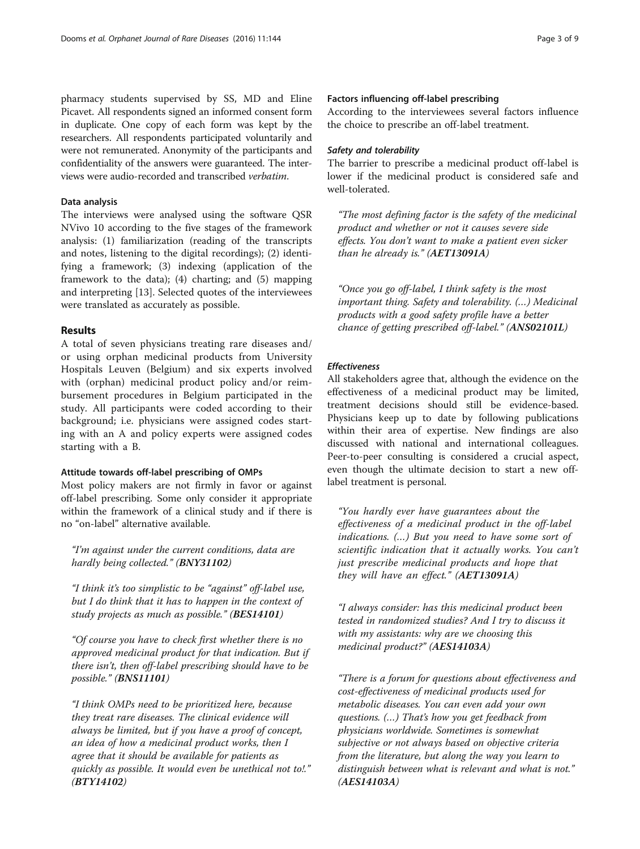pharmacy students supervised by SS, MD and Eline Picavet. All respondents signed an informed consent form in duplicate. One copy of each form was kept by the researchers. All respondents participated voluntarily and were not remunerated. Anonymity of the participants and confidentiality of the answers were guaranteed. The interviews were audio-recorded and transcribed verbatim.

#### Data analysis

The interviews were analysed using the software QSR NVivo 10 according to the five stages of the framework analysis: (1) familiarization (reading of the transcripts and notes, listening to the digital recordings); (2) identifying a framework; (3) indexing (application of the framework to the data); (4) charting; and (5) mapping and interpreting [\[13\]](#page-7-0). Selected quotes of the interviewees were translated as accurately as possible.

#### Results

A total of seven physicians treating rare diseases and/ or using orphan medicinal products from University Hospitals Leuven (Belgium) and six experts involved with (orphan) medicinal product policy and/or reimbursement procedures in Belgium participated in the study. All participants were coded according to their background; i.e. physicians were assigned codes starting with an A and policy experts were assigned codes starting with a B.

#### Attitude towards off-label prescribing of OMPs

Most policy makers are not firmly in favor or against off-label prescribing. Some only consider it appropriate within the framework of a clinical study and if there is no "on-label" alternative available.

"I'm against under the current conditions, data are hardly being collected." (BNY31102)

"I think it's too simplistic to be "against" off-label use, but I do think that it has to happen in the context of study projects as much as possible." (BES14101)

"Of course you have to check first whether there is no approved medicinal product for that indication. But if there isn't, then off-label prescribing should have to be possible." (BNS11101)

"I think OMPs need to be prioritized here, because they treat rare diseases. The clinical evidence will always be limited, but if you have a proof of concept, an idea of how a medicinal product works, then I agree that it should be available for patients as quickly as possible. It would even be unethical not to!." (BTY14102)

# Factors influencing off-label prescribing

According to the interviewees several factors influence the choice to prescribe an off-label treatment.

#### Safety and tolerability

The barrier to prescribe a medicinal product off-label is lower if the medicinal product is considered safe and well-tolerated.

"The most defining factor is the safety of the medicinal product and whether or not it causes severe side effects. You don't want to make a patient even sicker than he already is." (AET13091A)

"Once you go off-label, I think safety is the most important thing. Safety and tolerability. (…) Medicinal products with a good safety profile have a better chance of getting prescribed off-label." (ANS02101L)

#### **Effectiveness**

All stakeholders agree that, although the evidence on the effectiveness of a medicinal product may be limited, treatment decisions should still be evidence-based. Physicians keep up to date by following publications within their area of expertise. New findings are also discussed with national and international colleagues. Peer-to-peer consulting is considered a crucial aspect, even though the ultimate decision to start a new offlabel treatment is personal.

"You hardly ever have guarantees about the effectiveness of a medicinal product in the off-label indications. (…) But you need to have some sort of scientific indication that it actually works. You can't just prescribe medicinal products and hope that they will have an effect." (AET13091A)

"I always consider: has this medicinal product been tested in randomized studies? And I try to discuss it with my assistants: why are we choosing this medicinal product?" (AES14103A)

"There is a forum for questions about effectiveness and cost-effectiveness of medicinal products used for metabolic diseases. You can even add your own questions. (…) That's how you get feedback from physicians worldwide. Sometimes is somewhat subjective or not always based on objective criteria from the literature, but along the way you learn to distinguish between what is relevant and what is not." (AES14103A)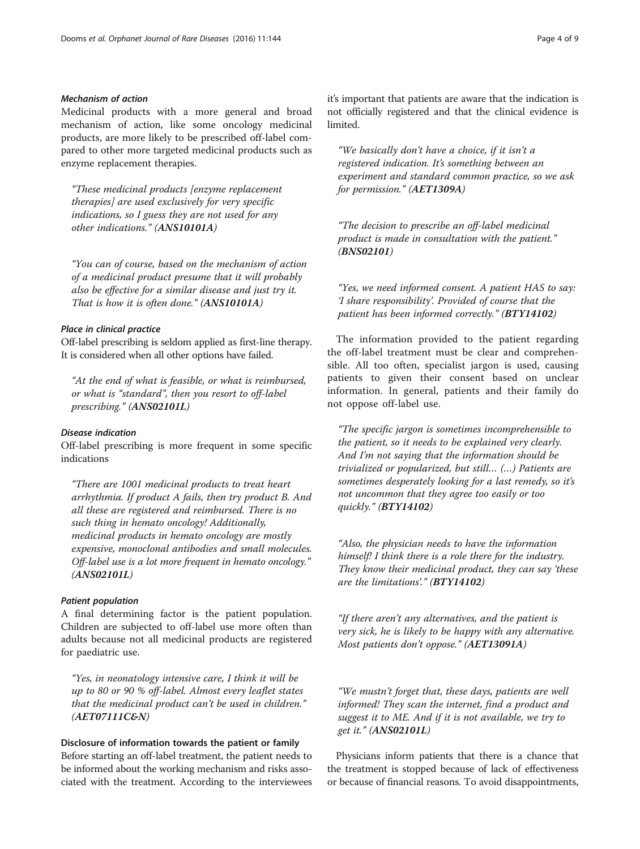# Mechanism of action

Medicinal products with a more general and broad mechanism of action, like some oncology medicinal products, are more likely to be prescribed off-label compared to other more targeted medicinal products such as enzyme replacement therapies.

"These medicinal products [enzyme replacement therapies] are used exclusively for very specific indications, so I guess they are not used for any other indications." (ANS10101A)

"You can of course, based on the mechanism of action of a medicinal product presume that it will probably also be effective for a similar disease and just try it. That is how it is often done." (ANS10101A)

### Place in clinical practice

Off-label prescribing is seldom applied as first-line therapy. It is considered when all other options have failed.

"At the end of what is feasible, or what is reimbursed, or what is "standard", then you resort to off-label prescribing." (ANS02101L)

#### Disease indication

Off-label prescribing is more frequent in some specific indications

"There are 1001 medicinal products to treat heart arrhythmia. If product A fails, then try product B. And all these are registered and reimbursed. There is no such thing in hemato oncology! Additionally, medicinal products in hemato oncology are mostly expensive, monoclonal antibodies and small molecules. Off-label use is a lot more frequent in hemato oncology." (ANS02101L)

#### Patient population

A final determining factor is the patient population. Children are subjected to off-label use more often than adults because not all medicinal products are registered for paediatric use.

"Yes, in neonatology intensive care, I think it will be up to 80 or 90 % off-label. Almost every leaflet states that the medicinal product can't be used in children." (AET07111C&N)

Disclosure of information towards the patient or family Before starting an off-label treatment, the patient needs to be informed about the working mechanism and risks associated with the treatment. According to the interviewees it's important that patients are aware that the indication is not officially registered and that the clinical evidence is limited.

"We basically don't have a choice, if it isn't a registered indication. It's something between an experiment and standard common practice, so we ask for permission." (AET1309A)

"The decision to prescribe an off-label medicinal product is made in consultation with the patient." (BNS02101)

"Yes, we need informed consent. A patient HAS to say: 'I share responsibility'. Provided of course that the patient has been informed correctly." (BTY14102)

The information provided to the patient regarding the off-label treatment must be clear and comprehensible. All too often, specialist jargon is used, causing patients to given their consent based on unclear information. In general, patients and their family do not oppose off-label use.

"The specific jargon is sometimes incomprehensible to the patient, so it needs to be explained very clearly. And I'm not saying that the information should be trivialized or popularized, but still… (…) Patients are sometimes desperately looking for a last remedy, so it's not uncommon that they agree too easily or too quickly." (BTY14102)

"Also, the physician needs to have the information himself! I think there is a role there for the industry. They know their medicinal product, they can say 'these are the limitations'." (BTY14102)

"If there aren't any alternatives, and the patient is very sick, he is likely to be happy with any alternative. Most patients don't oppose." (AET13091A)

"We mustn't forget that, these days, patients are well informed! They scan the internet, find a product and suggest it to ME. And if it is not available, we try to get it." (ANS02101L)

Physicians inform patients that there is a chance that the treatment is stopped because of lack of effectiveness or because of financial reasons. To avoid disappointments,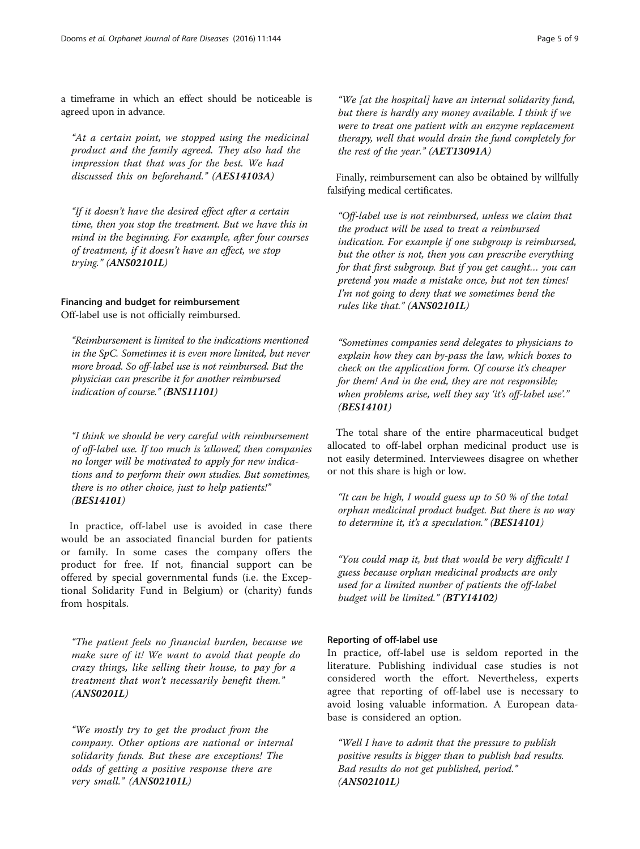a timeframe in which an effect should be noticeable is agreed upon in advance.

"At a certain point, we stopped using the medicinal product and the family agreed. They also had the impression that that was for the best. We had discussed this on beforehand." (AES14103A)

"If it doesn't have the desired effect after a certain time, then you stop the treatment. But we have this in mind in the beginning. For example, after four courses of treatment, if it doesn't have an effect, we stop trying." (ANS02101L)

# Financing and budget for reimbursement

Off-label use is not officially reimbursed.

"Reimbursement is limited to the indications mentioned in the SpC. Sometimes it is even more limited, but never more broad. So off-label use is not reimbursed. But the physician can prescribe it for another reimbursed indication of course." (BNS11101)

"I think we should be very careful with reimbursement of off-label use. If too much is 'allowed', then companies no longer will be motivated to apply for new indications and to perform their own studies. But sometimes, there is no other choice, just to help patients!" (BES14101)

In practice, off-label use is avoided in case there would be an associated financial burden for patients or family. In some cases the company offers the product for free. If not, financial support can be offered by special governmental funds (i.e. the Exceptional Solidarity Fund in Belgium) or (charity) funds from hospitals.

"The patient feels no financial burden, because we make sure of it! We want to avoid that people do crazy things, like selling their house, to pay for a treatment that won't necessarily benefit them." (ANS0201L)

"We mostly try to get the product from the company. Other options are national or internal solidarity funds. But these are exceptions! The odds of getting a positive response there are very small." (ANS02101L)

"We [at the hospital] have an internal solidarity fund, but there is hardly any money available. I think if we were to treat one patient with an enzyme replacement therapy, well that would drain the fund completely for the rest of the year." (AET13091A)

Finally, reimbursement can also be obtained by willfully falsifying medical certificates.

"Off-label use is not reimbursed, unless we claim that the product will be used to treat a reimbursed indication. For example if one subgroup is reimbursed, but the other is not, then you can prescribe everything for that first subgroup. But if you get caught… you can pretend you made a mistake once, but not ten times! I'm not going to deny that we sometimes bend the rules like that." (ANS02101L)

"Sometimes companies send delegates to physicians to explain how they can by-pass the law, which boxes to check on the application form. Of course it's cheaper for them! And in the end, they are not responsible; when problems arise, well they say 'it's off-label use'." (BES14101)

The total share of the entire pharmaceutical budget allocated to off-label orphan medicinal product use is not easily determined. Interviewees disagree on whether or not this share is high or low.

"It can be high, I would guess up to 50 % of the total orphan medicinal product budget. But there is no way to determine it, it's a speculation." (BES14101)

"You could map it, but that would be very difficult! I guess because orphan medicinal products are only used for a limited number of patients the off-label budget will be limited." (BTY14102)

# Reporting of off-label use

In practice, off-label use is seldom reported in the literature. Publishing individual case studies is not considered worth the effort. Nevertheless, experts agree that reporting of off-label use is necessary to avoid losing valuable information. A European database is considered an option.

"Well I have to admit that the pressure to publish positive results is bigger than to publish bad results. Bad results do not get published, period." (ANS02101L)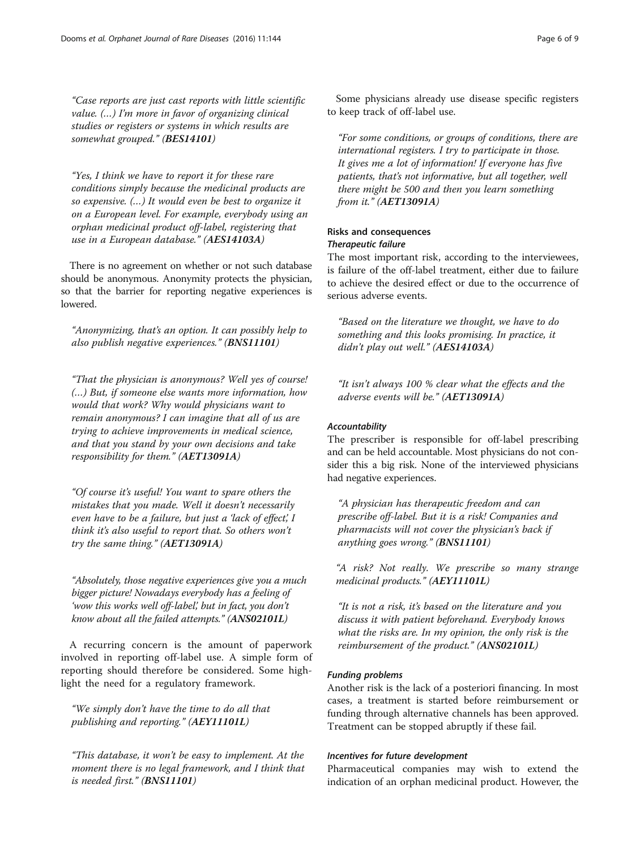"Case reports are just cast reports with little scientific value. (…) I'm more in favor of organizing clinical studies or registers or systems in which results are somewhat grouped." (BES14101)

"Yes, I think we have to report it for these rare conditions simply because the medicinal products are so expensive. (…) It would even be best to organize it on a European level. For example, everybody using an orphan medicinal product off-label, registering that use in a European database." (AES14103A)

There is no agreement on whether or not such database should be anonymous. Anonymity protects the physician, so that the barrier for reporting negative experiences is lowered.

"Anonymizing, that's an option. It can possibly help to also publish negative experiences." (BNS11101)

"That the physician is anonymous? Well yes of course! (…) But, if someone else wants more information, how would that work? Why would physicians want to remain anonymous? I can imagine that all of us are trying to achieve improvements in medical science, and that you stand by your own decisions and take responsibility for them." (AET13091A)

"Of course it's useful! You want to spare others the mistakes that you made. Well it doesn't necessarily even have to be a failure, but just a 'lack of effect', I think it's also useful to report that. So others won't try the same thing." (AET13091A)

"Absolutely, those negative experiences give you a much bigger picture! Nowadays everybody has a feeling of 'wow this works well off-label', but in fact, you don't know about all the failed attempts." (ANS02101L)

A recurring concern is the amount of paperwork involved in reporting off-label use. A simple form of reporting should therefore be considered. Some highlight the need for a regulatory framework.

"We simply don't have the time to do all that publishing and reporting." (AEY11101L)

"This database, it won't be easy to implement. At the moment there is no legal framework, and I think that is needed first." (BNS11101)

Some physicians already use disease specific registers to keep track of off-label use.

"For some conditions, or groups of conditions, there are international registers. I try to participate in those. It gives me a lot of information! If everyone has five patients, that's not informative, but all together, well there might be 500 and then you learn something from it." (AET13091A)

# Risks and consequences Therapeutic failure

The most important risk, according to the interviewees, is failure of the off-label treatment, either due to failure to achieve the desired effect or due to the occurrence of serious adverse events.

"Based on the literature we thought, we have to do something and this looks promising. In practice, it didn't play out well." (AES14103A)

"It isn't always 100 % clear what the effects and the adverse events will be." (AET13091A)

# Accountability

The prescriber is responsible for off-label prescribing and can be held accountable. Most physicians do not consider this a big risk. None of the interviewed physicians had negative experiences.

"A physician has therapeutic freedom and can prescribe off-label. But it is a risk! Companies and pharmacists will not cover the physician's back if anything goes wrong." (BNS11101)

"A risk? Not really. We prescribe so many strange medicinal products." (AEY11101L)

"It is not a risk, it's based on the literature and you discuss it with patient beforehand. Everybody knows what the risks are. In my opinion, the only risk is the reimbursement of the product." (ANS02101L)

# Funding problems

Another risk is the lack of a posteriori financing. In most cases, a treatment is started before reimbursement or funding through alternative channels has been approved. Treatment can be stopped abruptly if these fail.

#### Incentives for future development

Pharmaceutical companies may wish to extend the indication of an orphan medicinal product. However, the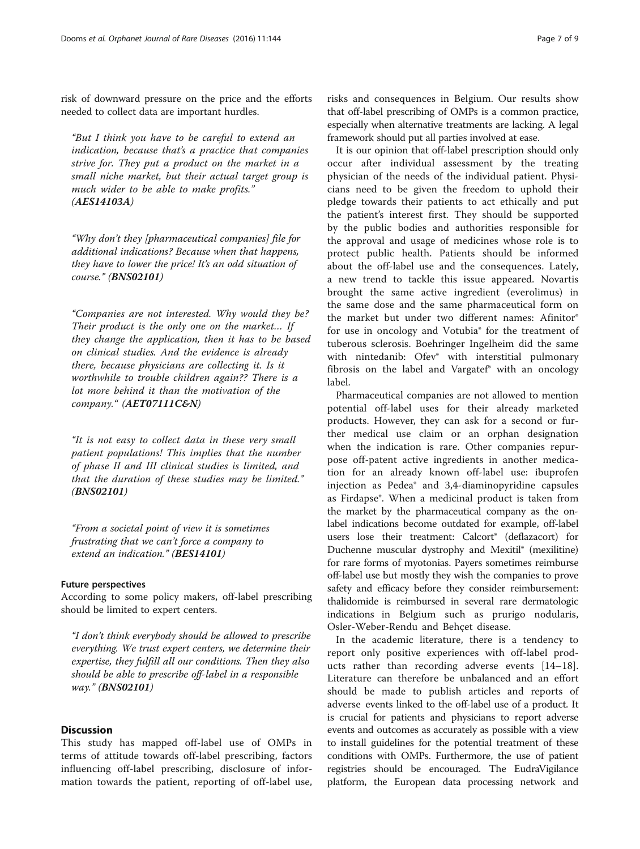risk of downward pressure on the price and the efforts needed to collect data are important hurdles.

"But I think you have to be careful to extend an indication, because that's a practice that companies strive for. They put a product on the market in a small niche market, but their actual target group is much wider to be able to make profits." (AES14103A)

"Why don't they [pharmaceutical companies] file for additional indications? Because when that happens, they have to lower the price! It's an odd situation of course." (BNS02101)

"Companies are not interested. Why would they be? Their product is the only one on the market… If they change the application, then it has to be based on clinical studies. And the evidence is already there, because physicians are collecting it. Is it worthwhile to trouble children again?? There is a lot more behind it than the motivation of the company." (AET07111C&N)

"It is not easy to collect data in these very small patient populations! This implies that the number of phase II and III clinical studies is limited, and that the duration of these studies may be limited." (BNS02101)

"From a societal point of view it is sometimes frustrating that we can't force a company to extend an indication." (BES14101)

#### Future perspectives

According to some policy makers, off-label prescribing should be limited to expert centers.

"I don't think everybody should be allowed to prescribe everything. We trust expert centers, we determine their expertise, they fulfill all our conditions. Then they also should be able to prescribe off-label in a responsible way." (BNS02101)

# **Discussion**

This study has mapped off-label use of OMPs in terms of attitude towards off-label prescribing, factors influencing off-label prescribing, disclosure of information towards the patient, reporting of off-label use,

risks and consequences in Belgium. Our results show that off-label prescribing of OMPs is a common practice, especially when alternative treatments are lacking. A legal framework should put all parties involved at ease.

It is our opinion that off-label prescription should only occur after individual assessment by the treating physician of the needs of the individual patient. Physicians need to be given the freedom to uphold their pledge towards their patients to act ethically and put the patient's interest first. They should be supported by the public bodies and authorities responsible for the approval and usage of medicines whose role is to protect public health. Patients should be informed about the off-label use and the consequences. Lately, a new trend to tackle this issue appeared. Novartis brought the same active ingredient (everolimus) in the same dose and the same pharmaceutical form on the market but under two different names: Afinitor® for use in oncology and Votubia® for the treatment of tuberous sclerosis. Boehringer Ingelheim did the same with nintedanib: Ofev® with interstitial pulmonary fibrosis on the label and Vargatef® with an oncology label.

Pharmaceutical companies are not allowed to mention potential off-label uses for their already marketed products. However, they can ask for a second or further medical use claim or an orphan designation when the indication is rare. Other companies repurpose off-patent active ingredients in another medication for an already known off-label use: ibuprofen injection as Pedea® and 3,4-diaminopyridine capsules as Firdapse®. When a medicinal product is taken from the market by the pharmaceutical company as the onlabel indications become outdated for example, off-label users lose their treatment: Calcort® (deflazacort) for Duchenne muscular dystrophy and Mexitil® (mexilitine) for rare forms of myotonias. Payers sometimes reimburse off-label use but mostly they wish the companies to prove safety and efficacy before they consider reimbursement: thalidomide is reimbursed in several rare dermatologic indications in Belgium such as prurigo nodularis, Osler-Weber-Rendu and Behçet disease.

In the academic literature, there is a tendency to report only positive experiences with off-label products rather than recording adverse events [\[14](#page-8-0)–[18](#page-8-0)]. Literature can therefore be unbalanced and an effort should be made to publish articles and reports of adverse events linked to the off-label use of a product. It is crucial for patients and physicians to report adverse events and outcomes as accurately as possible with a view to install guidelines for the potential treatment of these conditions with OMPs. Furthermore, the use of patient registries should be encouraged. The EudraVigilance platform, the European data processing network and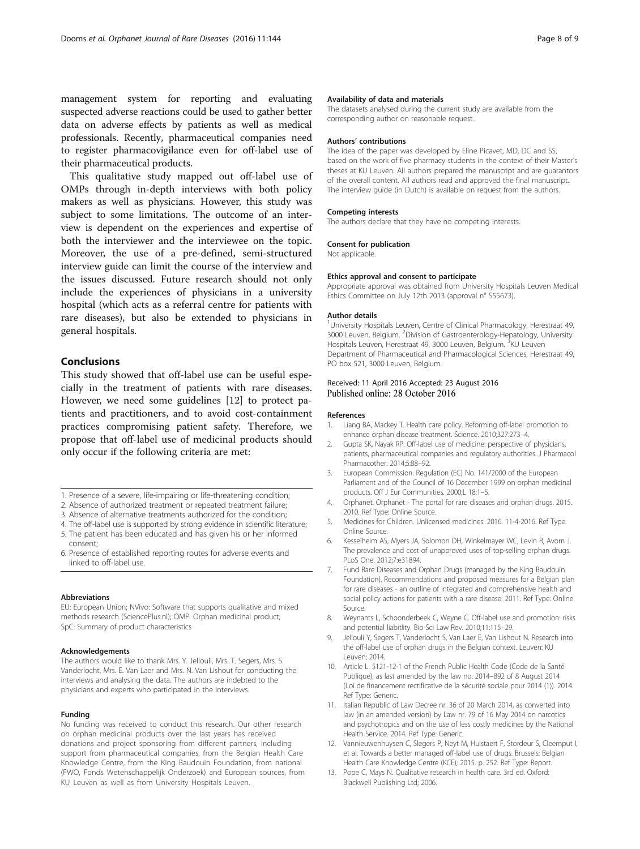<span id="page-7-0"></span>management system for reporting and evaluating suspected adverse reactions could be used to gather better data on adverse effects by patients as well as medical professionals. Recently, pharmaceutical companies need to register pharmacovigilance even for off-label use of their pharmaceutical products.

This qualitative study mapped out off-label use of OMPs through in-depth interviews with both policy makers as well as physicians. However, this study was subject to some limitations. The outcome of an interview is dependent on the experiences and expertise of both the interviewer and the interviewee on the topic. Moreover, the use of a pre-defined, semi-structured interview guide can limit the course of the interview and the issues discussed. Future research should not only include the experiences of physicians in a university hospital (which acts as a referral centre for patients with rare diseases), but also be extended to physicians in general hospitals.

#### Conclusions

This study showed that off-label use can be useful especially in the treatment of patients with rare diseases. However, we need some guidelines [12] to protect patients and practitioners, and to avoid cost-containment practices compromising patient safety. Therefore, we propose that off-label use of medicinal products should only occur if the following criteria are met:

- 1. Presence of a severe, life-impairing or life-threatening condition;
- 2. Absence of authorized treatment or repeated treatment failure;
- 3. Absence of alternative treatments authorized for the condition;
- 4. The off-label use is supported by strong evidence in scientific literature;
- 5. The patient has been educated and has given his or her informed consent;
- 6. Presence of established reporting routes for adverse events and linked to off-label use.

#### Abbreviations

EU: European Union; NVivo: Software that supports qualitative and mixed methods research (SciencePlus.nl); OMP: Orphan medicinal product; SpC: Summary of product characteristics

#### Acknowledgements

The authors would like to thank Mrs. Y. Jellouli, Mrs. T. Segers, Mrs. S. Vanderlocht, Mrs. E. Van Laer and Mrs. N. Van Lishout for conducting the interviews and analysing the data. The authors are indebted to the physicians and experts who participated in the interviews.

#### Funding

No funding was received to conduct this research. Our other research on orphan medicinal products over the last years has received donations and project sponsoring from different partners, including support from pharmaceutical companies, from the Belgian Health Care Knowledge Centre, from the King Baudouin Foundation, from national (FWO, Fonds Wetenschappelijk Onderzoek) and European sources, from KU Leuven as well as from University Hospitals Leuven.

#### Availability of data and materials

The datasets analysed during the current study are available from the corresponding author on reasonable request.

#### Authors' contributions

The idea of the paper was developed by Eline Picavet, MD, DC and SS, based on the work of five pharmacy students in the context of their Master's theses at KU Leuven. All authors prepared the manuscript and are guarantors of the overall content. All authors read and approved the final manuscript. The interview guide (in Dutch) is available on request from the authors.

#### Competing interests

The authors declare that they have no competing interests.

#### Consent for publication

Not applicable.

#### Ethics approval and consent to participate

Appropriate approval was obtained from University Hospitals Leuven Medical Ethics Committee on July 12th 2013 (approval n° S55673).

#### Author details

<sup>1</sup>University Hospitals Leuven, Centre of Clinical Pharmacology, Herestraat 49, 3000 Leuven, Belgium. <sup>2</sup> Division of Gastroenterology-Hepatology, University Hospitals Leuven, Herestraat 49, 3000 Leuven, Belgium. <sup>3</sup>KU Leuven Department of Pharmaceutical and Pharmacological Sciences, Herestraat 49, PO box 521, 3000 Leuven, Belgium.

#### Received: 11 April 2016 Accepted: 23 August 2016 Published online: 28 October 2016

#### References

- 1. Liang BA, Mackey T. Health care policy. Reforming off-label promotion to enhance orphan disease treatment. Science. 2010;327:273–4.
- 2. Gupta SK, Nayak RP. Off-label use of medicine: perspective of physicians, patients, pharmaceutical companies and regulatory authorities. J Pharmacol Pharmacother. 2014;5:88–92.
- 3. European Commission. Regulation (EC) No. 141/2000 of the European Parliament and of the Council of 16 December 1999 on orphan medicinal products. Off J Eur Communities. 2000;L 18:1–5.
- 4. Orphanet. Orphanet The portal for rare diseases and orphan drugs. 2015. 2010. Ref Type: Online Source.
- 5. Medicines for Children. Unlicensed medicines. 2016. 11-4-2016. Ref Type: Online Source.
- 6. Kesselheim AS, Myers JA, Solomon DH, Winkelmayer WC, Levin R, Avorn J. The prevalence and cost of unapproved uses of top-selling orphan drugs. PLoS One. 2012;7:e31894.
- 7. Fund Rare Diseases and Orphan Drugs (managed by the King Baudouin Foundation). Recommendations and proposed measures for a Belgian plan for rare diseases - an outline of integrated and comprehensive health and social policy actions for patients with a rare disease. 2011. Ref Type: Online Source.
- 8. Weynants L, Schoonderbeek C, Weyne C. Off-label use and promotion: risks and potential liabitlity. Bio-Sci Law Rev. 2010;11:115–29.
- 9. Jellouli Y, Segers T, Vanderlocht S, Van Laer E, Van Lishout N. Research into the off-label use of orphan drugs in the Belgian context. Leuven: KU Leuven; 2014.
- 10. Article L. 5121-12-1 of the French Public Health Code (Code de la Santé Publique), as last amended by the law no. 2014–892 of 8 August 2014 (Loi de financement rectificative de la sécurité sociale pour 2014 (1)). 2014. Ref Type: Generic.
- 11. Italian Republic of Law Decree nr. 36 of 20 March 2014, as converted into law (in an amended version) by Law nr. 79 of 16 May 2014 on narcotics and psychotropics and on the use of less costly medicines by the National Health Service. 2014. Ref Type: Generic.
- 12. Vannieuwenhuysen C, Slegers P, Neyt M, Hulstaert F, Stordeur S, Cleemput I, et al. Towards a better managed off-label use of drugs. Brussels: Belgian Health Care Knowledge Centre (KCE); 2015. p. 252. Ref Type: Report.
- 13. Pope C, Mays N. Qualitative research in health care. 3rd ed. Oxford: Blackwell Publishing Ltd; 2006.